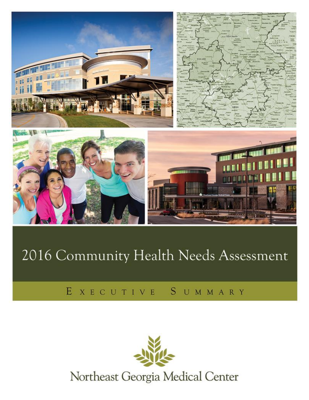

# 2016 Community Health Needs Assessment

## EXECUTIVE SUMMARY



Northeast Georgia Medical Center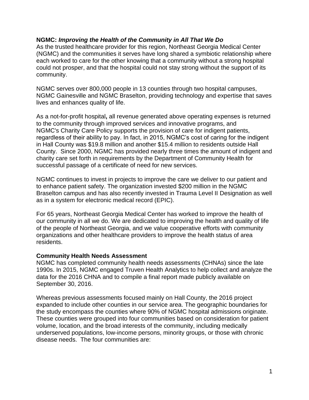### **NGMC:** *Improving the Health of the Community in All That We Do*

As the trusted healthcare provider for this region, Northeast Georgia Medical Center (NGMC) and the communities it serves have long shared a symbiotic relationship where each worked to care for the other knowing that a community without a strong hospital could not prosper, and that the hospital could not stay strong without the support of its community.

NGMC serves over 800,000 people in 13 counties through two hospital campuses, NGMC Gainesville and NGMC Braselton, providing technology and expertise that saves lives and enhances quality of life.

As a not-for-profit hospital**,** all revenue generated above operating expenses is returned to the community through improved services and innovative programs, and NGMC's [Charity Care Policy](http://www.nghs.com/charity-care-policy) supports the provision of care for indigent patients, regardless of their ability to pay. In fact, in 2015, NGMC's cost of caring for the indigent in Hall County was \$19.8 million and another \$15.4 million to residents outside Hall County. Since 2000, NGMC has provided nearly three times the amount of indigent and charity care set forth in requirements by the Department of Community Health for successful passage of a certificate of need for new services.

NGMC continues to invest in projects to improve the care we deliver to our patient and to enhance patient safety. The organization invested \$200 million in the NGMC Braselton campus and has also recently invested in Trauma Level II Designation as well as in a system for electronic medical record (EPIC).

For 65 years, Northeast Georgia Medical Center has worked to improve the health of our community in all we do. We are dedicated to improving the health and quality of life of the people of Northeast Georgia, and we value cooperative efforts with community organizations and other healthcare providers to improve the health status of area residents.

### **Community Health Needs Assessment**

NGMC has completed community health needs assessments (CHNAs) since the late 1990s. In 2015, NGMC engaged Truven Health Analytics to help collect and analyze the data for the 2016 CHNA and to compile a final report made publicly available on September 30, 2016.

Whereas previous assessments focused mainly on Hall County, the 2016 project expanded to include other counties in our service area. The geographic boundaries for the study encompass the counties where 90% of NGMC hospital admissions originate. These counties were grouped into four communities based on consideration for patient volume, location, and the broad interests of the community, including medically underserved populations, low-income persons, minority groups, or those with chronic disease needs. The four communities are: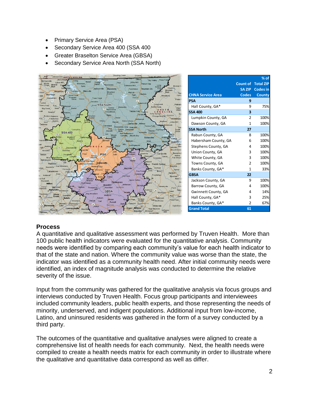- Primary Service Area (PSA)
- Secondary Service Area 400 (SSA 400
- Greater Braselton Service Area (GBSA)
- Secondary Service Area North (SSA North)



#### **Process**

A quantitative and qualitative assessment was performed by Truven Health. More than 100 public health indicators were evaluated for the quantitative analysis. Community needs were identified by comparing each community's value for each health indicator to that of the state and nation. Where the community value was worse than the state, the indicator was identified as a community health need. After initial community needs were identified, an index of magnitude analysis was conducted to determine the relative severity of the issue.

Input from the community was gathered for the qualitative analysis via focus groups and interviews conducted by Truven Health. Focus group participants and interviewees included community leaders, public health experts, and those representing the needs of minority, underserved, and indigent populations. Additional input from low-income, Latino, and uninsured residents was gathered in the form of a survey conducted by a third party.

The outcomes of the quantitative and qualitative analyses were aligned to create a comprehensive list of health needs for each community. Next, the health needs were compiled to create a health needs matrix for each community in order to illustrate where the qualitative and quantitative data correspond as well as differ.

**% of**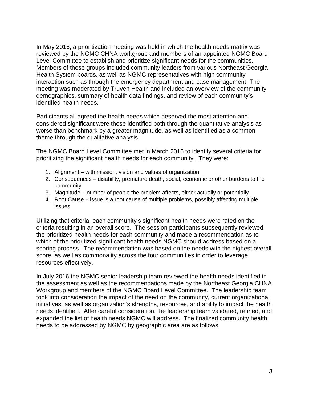In May 2016, a prioritization meeting was held in which the health needs matrix was reviewed by the NGMC CHNA workgroup and members of an appointed NGMC Board Level Committee to establish and prioritize significant needs for the communities. Members of these groups included community leaders from various Northeast Georgia Health System boards, as well as NGMC representatives with high community interaction such as through the emergency department and case management. The meeting was moderated by Truven Health and included an overview of the community demographics, summary of health data findings, and review of each community's identified health needs.

Participants all agreed the health needs which deserved the most attention and considered significant were those identified both through the quantitative analysis as worse than benchmark by a greater magnitude, as well as identified as a common theme through the qualitative analysis.

The NGMC Board Level Committee met in March 2016 to identify several criteria for prioritizing the significant health needs for each community. They were:

- 1. Alignment with mission, vision and values of organization
- 2. Consequences disability, premature death, social, economic or other burdens to the community
- 3. Magnitude number of people the problem affects, either actually or potentially
- 4. Root Cause issue is a root cause of multiple problems, possibly affecting multiple issues

Utilizing that criteria, each community's significant health needs were rated on the criteria resulting in an overall score. The session participants subsequently reviewed the prioritized health needs for each community and made a recommendation as to which of the prioritized significant health needs NGMC should address based on a scoring process. The recommendation was based on the needs with the highest overall score, as well as commonality across the four communities in order to leverage resources effectively.

In July 2016 the NGMC senior leadership team reviewed the health needs identified in the assessment as well as the recommendations made by the Northeast Georgia CHNA Workgroup and members of the NGMC Board Level Committee. The leadership team took into consideration the impact of the need on the community, current organizational initiatives, as well as organization's strengths, resources, and ability to impact the health needs identified. After careful consideration, the leadership team validated, refined, and expanded the list of health needs NGMC will address. The finalized community health needs to be addressed by NGMC by geographic area are as follows: